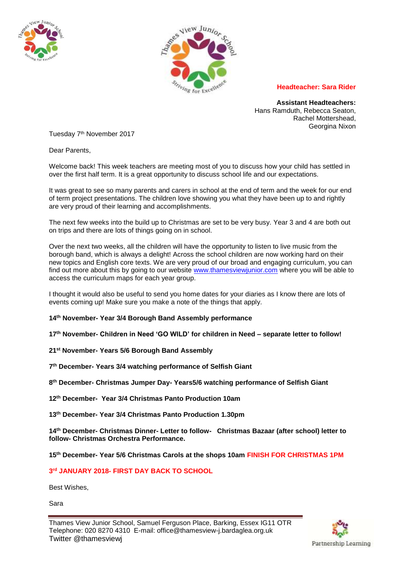



## **Headteacher: Sara Rider**

**Assistant Headteachers:** Hans Ramduth, Rebecca Seaton, Rachel Mottershead, Georgina Nixon

Tuesday 7th November 2017

Dear Parents,

Welcome back! This week teachers are meeting most of you to discuss how your child has settled in over the first half term. It is a great opportunity to discuss school life and our expectations.

It was great to see so many parents and carers in school at the end of term and the week for our end of term project presentations. The children love showing you what they have been up to and rightly are very proud of their learning and accomplishments.

The next few weeks into the build up to Christmas are set to be very busy. Year 3 and 4 are both out on trips and there are lots of things going on in school.

Over the next two weeks, all the children will have the opportunity to listen to live music from the borough band, which is always a delight! Across the school children are now working hard on their new topics and English core texts. We are very proud of our broad and engaging curriculum, you can find out more about this by going to our website [www.thamesviewjunior.com](http://www.thamesviewjunior.com/) where you will be able to access the curriculum maps for each year group.

I thought it would also be useful to send you home dates for your diaries as I know there are lots of events coming up! Make sure you make a note of the things that apply.

**14th November- Year 3/4 Borough Band Assembly performance** 

**17th November- Children in Need 'GO WILD' for children in Need – separate letter to follow!**

**21st November- Years 5/6 Borough Band Assembly** 

**7 th December- Years 3/4 watching performance of Selfish Giant** 

**8 th December- Christmas Jumper Day- Years5/6 watching performance of Selfish Giant**

**12th December- Year 3/4 Christmas Panto Production 10am**

**13th December- Year 3/4 Christmas Panto Production 1.30pm** 

**14th December- Christmas Dinner- Letter to follow- Christmas Bazaar (after school) letter to follow- Christmas Orchestra Performance.** 

**15th December- Year 5/6 Christmas Carols at the shops 10am FINISH FOR CHRISTMAS 1PM**

**3 rd JANUARY 2018- FIRST DAY BACK TO SCHOOL** 

Best Wishes,

Sara